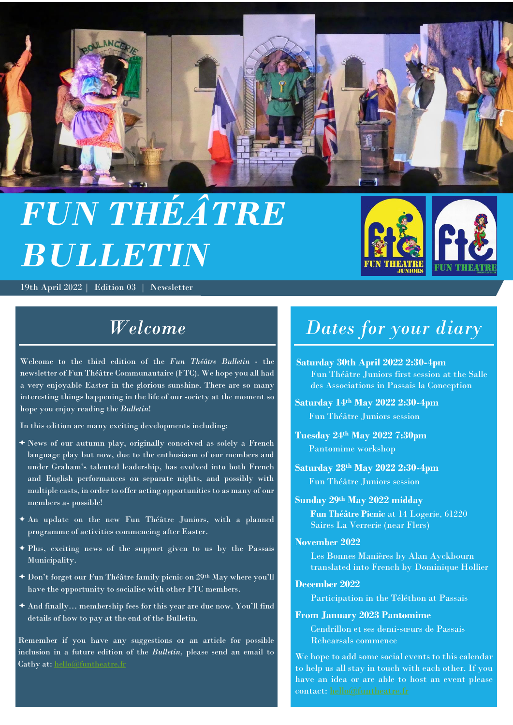

# *FUN THÉÂTRE BULLETIN*

19th April 2022 | Edition 03 | Newsletter

# *Welcome*

Welcome to the third edition of the *Fun Théâtre Bulletin* - the newsletter of Fun Théâtre Communautaire (FTC). We hope you all had a very enjoyable Easter in the glorious sunshine. There are so many interesting things happening in the life of our society at the moment so hope you enjoy reading the *Bulletin*!

In this edition are many exciting developments including:

- News of our autumn play, originally conceived as solely a French language play but now, due to the enthusiasm of our members and under Graham's talented leadership, has evolved into both French and English performances on separate nights, and possibly with multiple casts, in order to offer acting opportunities to as many of our members as possible!
- An update on the new Fun Théâtre Juniors, with a planned programme of activities commencing after Easter.
- $\overline{P}_1$  Plus, exciting news of the support given to us by the Passais Municipality.
- Don't forget our Fun Théâtre family picnic on 29th May where you'll have the opportunity to socialise with other FTC members.
- And finally… membership fees for this year are due now. You'll find details of how to pay at the end of the Bulletin.

Remember if you have any suggestions or an article for possible inclusion in a future edition of the *Bulletin,* please send an email to Cathy at: [hello@funtheatre.fr](mailto:hello@funtheatre.fr)

# *Dates for your diary*

**Saturday 30th April 2022 2:30-4pm**  Fun Théâtre Juniors first session at the Salle des Associations in Passais la Conception

**Saturday 14th May 2022 2:30-4pm** Fun Théâtre Juniors session

**Tuesday 24 th May 2022 7:30pm** Pantomime workshop

**Saturday 28th May 2022 2:30-4pm** Fun Théâtre Juniors session

#### **Sunday 29th May 2022 midday**

**Fun Théâtre Picnic** at 14 Logerie, 61220 Saires La Verrerie (near Flers)

#### **November 2022**

Les Bonnes Manières by Alan Ayckbourn translated into French by Dominique Hollier

#### **December 2022**

Participation in the Téléthon at Passais

#### **From January 2023 Pantomime**

Cendrillon et ses demi-sœurs de Passais Rehearsals commence

We hope to add some social events to this calendar to help us all stay in touch with each other. If you have an idea or are able to host an event please contact[: hello@funtheatre.fr](mailto:hello@funtheatre.fr)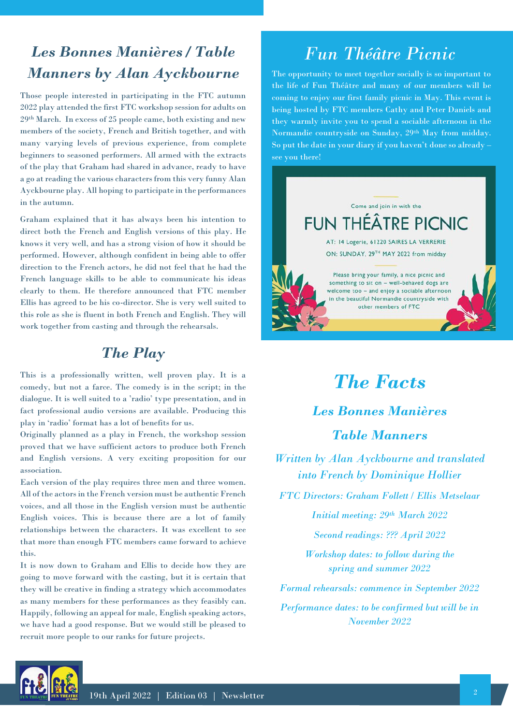## *Les Bonnes Manières / Table Manners by Alan Ayckbourne*

Those people interested in participating in the FTC autumn 2022 play attended the first FTC workshop session for adults on 29th March. In excess of 25 people came, both existing and new members of the society, French and British together, and with many varying levels of previous experience, from complete beginners to seasoned performers. All armed with the extracts of the play that Graham had shared in advance, ready to have a go at reading the various characters from this very funny Alan Ayckbourne play. All hoping to participate in the performances in the autumn.

Graham explained that it has always been his intention to direct both the French and English versions of this play. He knows it very well, and has a strong vision of how it should be performed. However, although confident in being able to offer direction to the French actors, he did not feel that he had the French language skills to be able to communicate his ideas clearly to them. He therefore announced that FTC member Ellis has agreed to be his co-director. She is very well suited to this role as she is fluent in both French and English. They will work together from casting and through the rehearsals.

## *The Play*

This is a professionally written, well proven play. It is a comedy, but not a farce. The comedy is in the script; in the dialogue. It is well suited to a 'radio' type presentation, and in fact professional audio versions are available. Producing this play in 'radio' format has a lot of benefits for us.

Originally planned as a play in French, the workshop session proved that we have sufficient actors to produce both French and English versions. A very exciting proposition for our association.

Each version of the play requires three men and three women. All of the actors in the French version must be authentic French voices, and all those in the English version must be authentic English voices. This is because there are a lot of family relationships between the characters. It was excellent to see that more than enough FTC members came forward to achieve this.

It is now down to Graham and Ellis to decide how they are going to move forward with the casting, but it is certain that they will be creative in finding a strategy which accommodates as many members for these performances as they feasibly can. Happily, following an appeal for male, English speaking actors, we have had a good response. But we would still be pleased to recruit more people to our ranks for future projects.

# *Fun Théâtre Picnic*

The opportunity to meet together socially is so important to the life of Fun Théâtre and many of our members will be coming to enjoy our first family picnic in May. This event is being hosted by FTC members Cathy and Peter Daniels and they warmly invite you to spend a sociable afternoon in the Normandie countryside on Sunday, 29th May from midday. So put the date in your diary if you haven't done so already – see you there!



# *The Facts*

*Les Bonnes Manières Table Manners* 

*Written by Alan Ayckbourne and translated into French by Dominique Hollier*

*FTC Directors: Graham Follett / Ellis Metselaar*

*Initial meeting: 29th March 2022*

*Second readings: ??? April 2022* 

*Workshop dates: to follow during the spring and summer 2022*

*Formal rehearsals: commence in September 2022 Performance dates: to be confirmed but will be in November 2022*

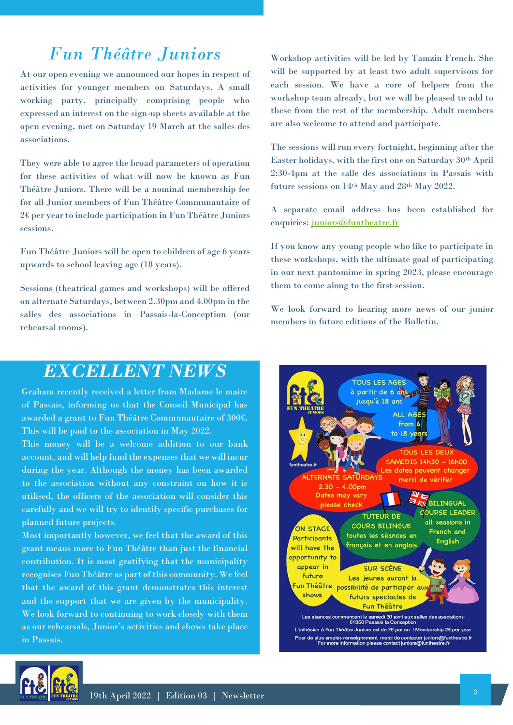# *Fun Théâtre Juniors*

At our open evening we announced our hopes in respect of activities for younger members on Saturdays. A small working party, principally comprising people who expressed an interest on the sign-up sheets available at the open evening, met on Saturday 19 March at the salles des associations.

They were able to agree the broad parameters of operation for these activities of what will now be known as Fun Théâtre Juniors. There will be a nominal membership fee for all Junior members of Fun Théâtre Communautaire of 2€ per year to include participation in Fun Théâtre Juniors sessions.

Fun Théâtre Juniors will be open to children of age 6 years upwards to school leaving age (18 years).

Sessions (theatrical games and workshops) will be offered on alternate Saturdays, between 2.30pm and 4.00pm in the salles des associations in Passais-la-Conception (our rehearsal rooms).

Workshop activities will be led by Tamzin French. She will be supported by at least two adult supervisors for each session. We have a core of helpers from the workshop team already, but we will be pleased to add to these from the rest of the membership. Adult members are also welcome to attend and participate.

The sessions will run every fortnight, beginning after the Easter holidays, with the first one on Saturday 30th April 2:30-4pm at the salle des associations in Passais with future sessions on 14th May and 28th May 2022.

A separate email address has been established for enquiries: [juniors@funtheatre.fr](mailto:juniors@funtheatre.fr)

If you know any young people who like to participate in these workshops, with the ultimate goal of participating in our next pantomime in spring 2023, please encourage them to come along to the first session.

We look forward to hearing more news of our junior members in future editions of the Bulletin.

## *EXCELLENT NEWS*

Graham recently received a letter from Madame le maire of Passais, informing us that the Conseil Municipal has awarded a grant to Fun Théâtre Communautaire of 300€. This will be paid to the association in May 2022.

This money will be a welcome addition to our bank account, and will help fund the expenses that we will incur during the year. Although the money has been awarded to the association without any constraint on how it is utilised, the officers of the association will consider this carefully and we will try to identify specific purchases for planned future projects.

Most importantly however, we feel that the award of this grant means more to Fun Théâtre than just the financial contribution. It is most gratifying that the municipality recognises Fun Théâtre as part of this community. We feel that the award of this grant demonstrates this interest and the support that we are given by the municipality. We look forward to continuing to work closely with them as our rehearsals, Junior's activities and shows take place in Passais.